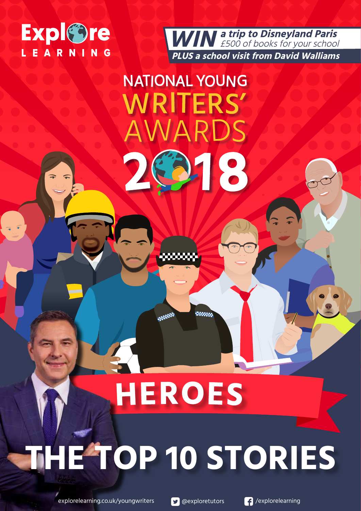

**a trip to Disneyland Paris** £500 of books for your school  **PLUS a school visit from David Walliams WIN**

### **NATIONAL YOUNG VRITERS'**  $\Delta$  R

218

**Since** 

## **HEROES**

**1050000** 

网络绿色

# **THE TOP 10 STORIES**

explorelearning.co.uk/youngwriters **& CO**exploretutors **PO** /explorelearning

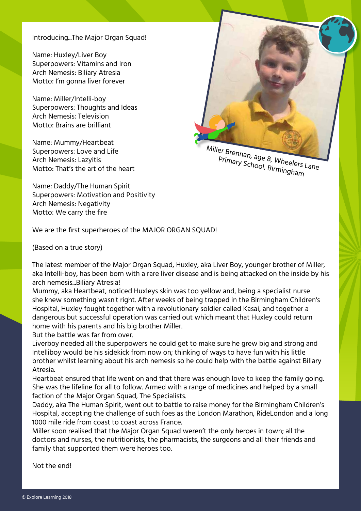Introducing...The Major Organ Squad!

Name: Huxley/Liver Boy Superpowers: Vitamins and Iron Arch Nemesis: Biliary Atresia Motto: I'm gonna liver forever

Name: Miller/Intelli-boy Superpowers: Thoughts and Ideas Arch Nemesis: Television Motto: Brains are brilliant

Name: Mummy/Heartbeat Superpowers: Love and Life Arch Nemesis: Lazyitis Motto: That's the art of the heart



Miller Brennan, age 8, Wheelers Lane Primary School, Birmingham

Name: Daddy/The Human Spirit Superpowers: Motivation and Positivity Arch Nemesis: Negativity Motto: We carry the fire

We are the first superheroes of the MAJOR ORGAN SQUAD!

(Based on a true story)

The latest member of the Major Organ Squad, Huxley, aka Liver Boy, younger brother of Miller, aka Intelli-boy, has been born with a rare liver disease and is being attacked on the inside by his arch nemesis...Biliary Atresia!

Mummy, aka Heartbeat, noticed Huxleys skin was too yellow and, being a specialist nurse she knew something wasn't right. After weeks of being trapped in the Birmingham Children's Hospital, Huxley fought together with a revolutionary soldier called Kasai, and together a dangerous but successful operation was carried out which meant that Huxley could return home with his parents and his big brother Miller.

But the battle was far from over.

Liverboy needed all the superpowers he could get to make sure he grew big and strong and Intelliboy would be his sidekick from now on; thinking of ways to have fun with his little brother whilst learning about his arch nemesis so he could help with the battle against Biliary Atresia.

Heartbeat ensured that life went on and that there was enough love to keep the family going. She was the lifeline for all to follow. Armed with a range of medicines and helped by a small faction of the Major Organ Squad, The Specialists.

Daddy, aka The Human Spirit, went out to battle to raise money for the Birmingham Children's Hospital, accepting the challenge of such foes as the London Marathon, RideLondon and a long 1000 mile ride from coast to coast across France.

Miller soon realised that the Major Organ Squad weren't the only heroes in town; all the doctors and nurses, the nutritionists, the pharmacists, the surgeons and all their friends and family that supported them were heroes too.

Not the end!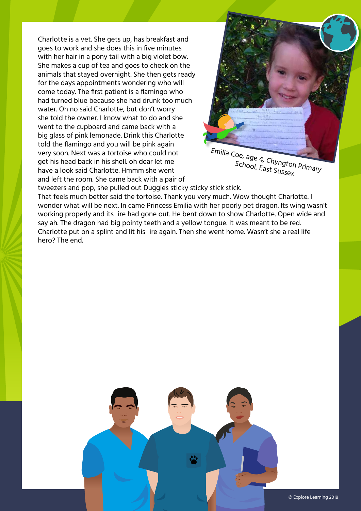Charlotte is a vet. She gets up, has breakfast and goes to work and she does this in five minutes with her hair in a pony tail with a big violet bow. She makes a cup of tea and goes to check on the animals that stayed overnight. She then gets ready for the days appointments wondering who will come today. The first patient is a flamingo who had turned blue because she had drunk too much water. Oh no said Charlotte, but don't worry she told the owner. I know what to do and she went to the cupboard and came back with a big glass of pink lemonade. Drink this Charlotte told the flamingo and you will be pink again very soon. Next was a tortoise who could not get his head back in his shell. oh dear let me have a look said Charlotte. Hmmm she went and left the room. She came back with a pair of



School, East Sussex

tweezers and pop, she pulled out Duggies sticky sticky stick stick.

That feels much better said the tortoise. Thank you very much. Wow thought Charlotte. I wonder what will be next. In came Princess Emilia with her poorly pet dragon. Its wing wasn't working properly and its ire had gone out. He bent down to show Charlotte. Open wide and say ah. The dragon had big pointy teeth and a yellow tongue. It was meant to be red. Charlotte put on a splint and lit his ire again. Then she went home. Wasn't she a real life hero? The end.

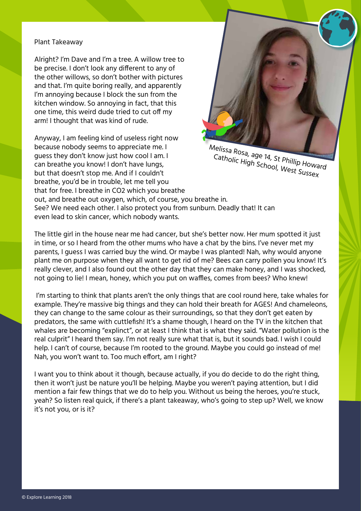#### Plant Takeaway

Alright? I'm Dave and I'm a tree. A willow tree to be precise. I don't look any different to any of the other willows, so don't bother with pictures and that. I'm quite boring really, and apparently I'm annoying because I block the sun from the kitchen window. So annoying in fact, that this one time, this weird dude tried to cut off my arm! I thought that was kind of rude.

Anyway, I am feeling kind of useless right now because nobody seems to appreciate me. I guess they don't know just how cool I am. I can breathe you know! I don't have lungs, but that doesn't stop me. And if I couldn't breathe, you'd be in trouble, let me tell you that for free. I breathe in CO2 which you breathe



Melissa Rosa, age 14, St Phillip Howard Catholic High School, West Sussex

out, and breathe out oxygen, which, of course, you breathe in. See? We need each other. I also protect you from sunburn. Deadly that! It can even lead to skin cancer, which nobody wants.

The little girl in the house near me had cancer, but she's better now. Her mum spotted it just in time, or so I heard from the other mums who have a chat by the bins. I've never met my parents, I guess I was carried buy the wind. Or maybe I was planted! Nah, why would anyone plant me on purpose when they all want to get rid of me? Bees can carry pollen you know! It's really clever, and I also found out the other day that they can make honey, and I was shocked, not going to lie! I mean, honey, which you put on waffles, comes from bees? Who knew!

 I'm starting to think that plants aren't the only things that are cool round here, take whales for example. They're massive big things and they can hold their breath for AGES! And chameleons, they can change to the same colour as their surroundings, so that they don't get eaten by predators, the same with cuttlefish! It's a shame though, I heard on the TV in the kitchen that whales are becoming "explinct", or at least I think that is what they said. "Water pollution is the real culprit" I heard them say. I'm not really sure what that is, but it sounds bad. I wish I could help. I can't of course, because I'm rooted to the ground. Maybe you could go instead of me! Nah, you won't want to. Too much effort, am I right?

I want you to think about it though, because actually, if you do decide to do the right thing, then it won't just be nature you'll be helping. Maybe you weren't paying attention, but I did mention a fair few things that we do to help you. Without us being the heroes, you're stuck, yeah? So listen real quick, if there's a plant takeaway, who's going to step up? Well, we know it's not you, or is it?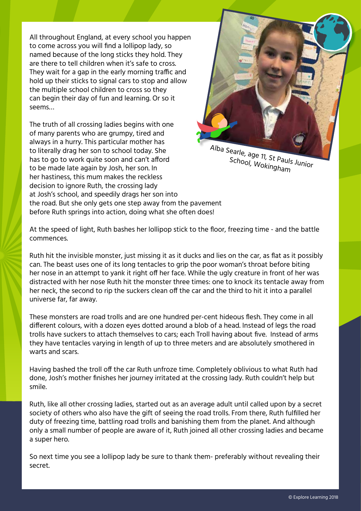All throughout England, at every school you happen to come across you will find a lollipop lady, so named because of the long sticks they hold. They are there to tell children when it's safe to cross. They wait for a gap in the early morning traffic and hold up their sticks to signal cars to stop and allow the multiple school children to cross so they can begin their day of fun and learning. Or so it seems…

The truth of all crossing ladies begins with one of many parents who are grumpy, tired and always in a hurry. This particular mother has to literally drag her son to school today. She has to go to work quite soon and can't afford to be made late again by Josh, her son. In her hastiness, this mum makes the reckless decision to ignore Ruth, the crossing lady at Josh's school, and speedily drags her son into the road. But she only gets one step away from the pavement before Ruth springs into action, doing what she often does!



School, Wokingham

At the speed of light, Ruth bashes her lollipop stick to the floor, freezing time - and the battle commences.

Ruth hit the invisible monster, just missing it as it ducks and lies on the car, as flat as it possibly can. The beast uses one of its long tentacles to grip the poor woman's throat before biting her nose in an attempt to yank it right off her face. While the ugly creature in front of her was distracted with her nose Ruth hit the monster three times: one to knock its tentacle away from her neck, the second to rip the suckers clean off the car and the third to hit it into a parallel universe far, far away.

These monsters are road trolls and are one hundred per-cent hideous flesh. They come in all different colours, with a dozen eyes dotted around a blob of a head. Instead of legs the road trolls have suckers to attach themselves to cars; each Troll having about five. Instead of arms they have tentacles varying in length of up to three meters and are absolutely smothered in warts and scars.

Having bashed the troll off the car Ruth unfroze time. Completely oblivious to what Ruth had done, Josh's mother finishes her journey irritated at the crossing lady. Ruth couldn't help but smile.

Ruth, like all other crossing ladies, started out as an average adult until called upon by a secret society of others who also have the gift of seeing the road trolls. From there, Ruth fulfilled her duty of freezing time, battling road trolls and banishing them from the planet. And although only a small number of people are aware of it, Ruth joined all other crossing ladies and became a super hero.

So next time you see a lollipop lady be sure to thank them- preferably without revealing their secret.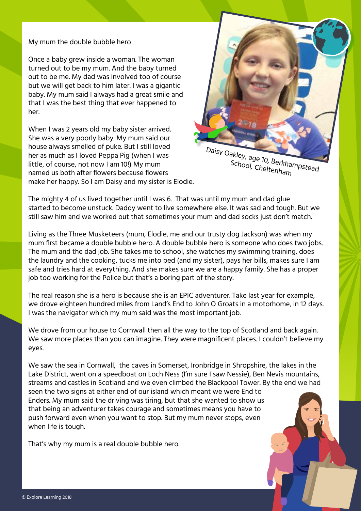My mum the double bubble hero

Once a baby grew inside a woman. The woman turned out to be my mum. And the baby turned out to be me. My dad was involved too of course but we will get back to him later. I was a gigantic baby. My mum said I always had a great smile and that I was the best thing that ever happened to her.

When I was 2 years old my baby sister arrived. She was a very poorly baby. My mum said our house always smelled of puke. But I still loved her as much as I loved Peppa Pig (when I was little, of course, not now I am 10!) My mum named us both after flowers because flowers make her happy. So I am Daisy and my sister is Elodie.



Daisy Oakley, age 10, Berkhampstead School, Cheltenham

The mighty 4 of us lived together until I was 6. That was until my mum and dad glue started to become unstuck. Daddy went to live somewhere else. It was sad and tough. But we still saw him and we worked out that sometimes your mum and dad socks just don't match.

Living as the Three Musketeers (mum, Elodie, me and our trusty dog Jackson) was when my mum first became a double bubble hero. A double bubble hero is someone who does two jobs. The mum and the dad job. She takes me to school, she watches my swimming training, does the laundry and the cooking, tucks me into bed (and my sister), pays her bills, makes sure I am safe and tries hard at everything. And she makes sure we are a happy family. She has a proper job too working for the Police but that's a boring part of the story.

The real reason she is a hero is because she is an EPIC adventurer. Take last year for example, we drove eighteen hundred miles from Land's End to John O Groats in a motorhome, in 12 days. I was the navigator which my mum said was the most important job.

We drove from our house to Cornwall then all the way to the top of Scotland and back again. We saw more places than you can imagine. They were magnificent places. I couldn't believe my eyes.

We saw the sea in Cornwall, the caves in Somerset, Ironbridge in Shropshire, the lakes in the Lake District, went on a speedboat on Loch Ness (I'm sure I saw Nessie), Ben Nevis mountains, streams and castles in Scotland and we even climbed the Blackpool Tower. By the end we had seen the two signs at either end of our island which meant we were End to Enders. My mum said the driving was tiring, but that she wanted to show us

that being an adventurer takes courage and sometimes means you have to push forward even when you want to stop. But my mum never stops, even when life is tough.

That's why my mum is a real double bubble hero.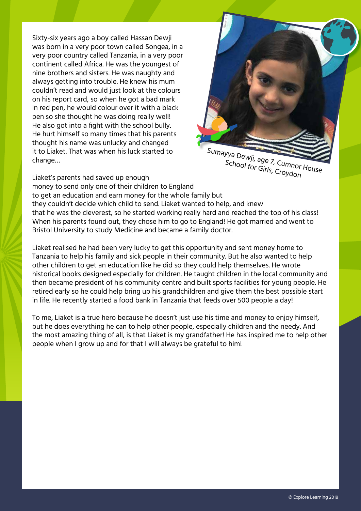Sixty-six years ago a boy called Hassan Dewji was born in a very poor town called Songea, in a very poor country called Tanzania, in a very poor continent called Africa. He was the youngest of nine brothers and sisters. He was naughty and always getting into trouble. He knew his mum couldn't read and would just look at the colours on his report card, so when he got a bad mark in red pen, he would colour over it with a black pen so she thought he was doing really well! He also got into a fight with the school bully. He hurt himself so many times that his parents thought his name was unlucky and changed it to Liaket. That was when his luck started to change…



School for Girls, Croydon

Liaket's parents had saved up enough

money to send only one of their children to England

to get an education and earn money for the whole family but they couldn't decide which child to send. Liaket wanted to help, and knew that he was the cleverest, so he started working really hard and reached the top of his class! When his parents found out, they chose him to go to England! He got married and went to Bristol University to study Medicine and became a family doctor.

Liaket realised he had been very lucky to get this opportunity and sent money home to Tanzania to help his family and sick people in their community. But he also wanted to help other children to get an education like he did so they could help themselves. He wrote historical books designed especially for children. He taught children in the local community and then became president of his community centre and built sports facilities for young people. He retired early so he could help bring up his grandchildren and give them the best possible start in life. He recently started a food bank in Tanzania that feeds over 500 people a day!

To me, Liaket is a true hero because he doesn't just use his time and money to enjoy himself, but he does everything he can to help other people, especially children and the needy. And the most amazing thing of all, is that Liaket is my grandfather! He has inspired me to help other people when I grow up and for that I will always be grateful to him!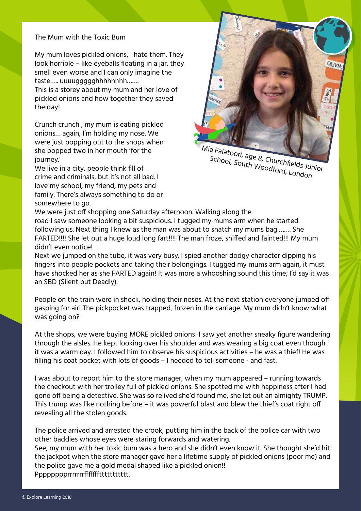#### The Mum with the Toxic Bum

My mum loves pickled onions, I hate them. They look horrible – like eyeballs floating in a jar, they smell even worse and I can only imagine the taste….. uuuuggggghhhhhhhh…….

This is a storey about my mum and her love of pickled onions and how together they saved the day!

Crunch crunch , my mum is eating pickled onions… again, I'm holding my nose. We were just popping out to the shops when she popped two in her mouth 'for the journey.'

We live in a city, people think fill of crime and criminals, but it's not all bad. I love my school, my friend, my pets and family. There's always something to do or somewhere to go.



Mia Falatoori, age 8, Churchfields Junior School, South Woodford, London

We were just off shopping one Saturday afternoon. Walking along the road I saw someone looking a bit suspicious. I tugged my mums arm when he started following us. Next thing I knew as the man was about to snatch my mums bag ……. She FARTED!!!! She let out a huge loud long fart!!!! The man froze, sniffed and fainted!!! My mum didn't even notice!

Next we jumped on the tube, it was very busy. I spied another dodgy character dipping his fingers into people pockets and taking their belongings. I tugged my mums arm again, it must have shocked her as she FARTED again! It was more a whooshing sound this time; I'd say it was an SBD (Silent but Deadly).

People on the train were in shock, holding their noses. At the next station everyone jumped off gasping for air! The pickpocket was trapped, frozen in the carriage. My mum didn't know what was going on?

At the shops, we were buying MORE pickled onions! I saw yet another sneaky figure wandering through the aisles. He kept looking over his shoulder and was wearing a big coat even though it was a warm day. I followed him to observe his suspicious activities – he was a thief! He was filling his coat pocket with lots of goods – I needed to tell someone - and fast.

I was about to report him to the store manager, when my mum appeared – running towards the checkout with her trolley full of pickled onions. She spotted me with happiness after I had gone off being a detective. She was so relived she'd found me, she let out an almighty TRUMP. This trump was like nothing before – it was powerful blast and blew the thief's coat right off revealing all the stolen goods.

The police arrived and arrested the crook, putting him in the back of the police car with two other baddies whose eyes were staring forwards and watering.

See, my mum with her toxic bum was a hero and she didn't even know it. She thought she'd hit the jackpot when the store manager gave her a lifetime supply of pickled onions (poor me) and the police gave me a gold medal shaped like a pickled onion!!

Pppppppprrrrrrrfffffffttttttttttt.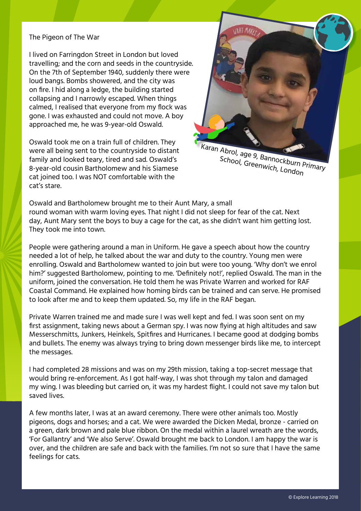#### The Pigeon of The War

I lived on Farringdon Street in London but loved travelling; and the corn and seeds in the countryside. On the 7th of September 1940, suddenly there were loud bangs. Bombs showered, and the city was on fire. I hid along a ledge, the building started collapsing and I narrowly escaped. When things calmed, I realised that everyone from my flock was gone. I was exhausted and could not move. A boy approached me, he was 9-year-old Oswald.

Oswald took me on a train full of children. They were all being sent to the countryside to distant family and looked teary, tired and sad. Oswald's 8-year-old cousin Bartholomew and his Siamese cat joined too. I was NOT comfortable with the cat's stare.



Karan Abrol, age 9, Bannockburn Primary School, Greenwich, London

Oswald and Bartholomew brought me to their Aunt Mary, a small round woman with warm loving eyes. That night I did not sleep for fear of the cat. Next day, Aunt Mary sent the boys to buy a cage for the cat, as she didn't want him getting lost. They took me into town.

People were gathering around a man in Uniform. He gave a speech about how the country needed a lot of help, he talked about the war and duty to the country. Young men were enrolling. Oswald and Bartholomew wanted to join but were too young. 'Why don't we enrol him?' suggested Bartholomew, pointing to me. 'Definitely not!', replied Oswald. The man in the uniform, joined the conversation. He told them he was Private Warren and worked for RAF Coastal Command. He explained how homing birds can be trained and can serve. He promised to look after me and to keep them updated. So, my life in the RAF began.

Private Warren trained me and made sure I was well kept and fed. I was soon sent on my first assignment, taking news about a German spy. I was now flying at high altitudes and saw Messerschmitts, Junkers, Heinkels, Spitfires and Hurricanes. I became good at dodging bombs and bullets. The enemy was always trying to bring down messenger birds like me, to intercept the messages.

I had completed 28 missions and was on my 29th mission, taking a top-secret message that would bring re-enforcement. As I got half-way, I was shot through my talon and damaged my wing. I was bleeding but carried on, it was my hardest flight. I could not save my talon but saved lives.

A few months later, I was at an award ceremony. There were other animals too. Mostly pigeons, dogs and horses; and a cat. We were awarded the Dicken Medal, bronze - carried on a green, dark brown and pale blue ribbon. On the medal within a laurel wreath are the words, 'For Gallantry' and 'We also Serve'. Oswald brought me back to London. I am happy the war is over, and the children are safe and back with the families. I'm not so sure that I have the same feelings for cats.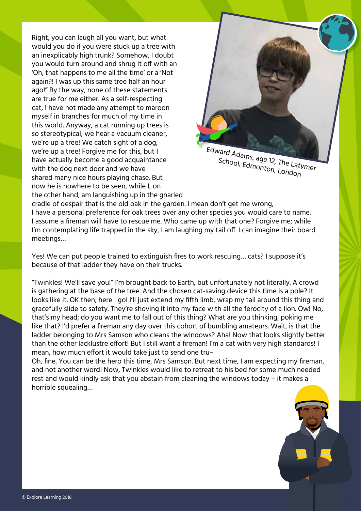Right, you can laugh all you want, but what would you do if you were stuck up a tree with an inexplicably high trunk? Somehow, I doubt you would turn around and shrug it off with an 'Oh, that happens to me all the time' or a 'Not again?! I was up this same tree half an hour ago!" By the way, none of these statements are true for me either. As a self-respecting cat, I have not made any attempt to maroon myself in branches for much of my time in this world. Anyway, a cat running up trees is so stereotypical; we hear a vacuum cleaner, we're up a tree! We catch sight of a dog, we're up a tree! Forgive me for this, but I have actually become a good acquaintance with the dog next door and we have shared many nice hours playing chase. But now he is nowhere to be seen, while I, on the other hand, am languishing up in the gnarled



Edward Adams, age 12, The Latymer School, Edmonton, London

cradle of despair that is the old oak in the garden. I mean don't get me wrong, I have a personal preference for oak trees over any other species you would care to name. I assume a fireman will have to rescue me. Who came up with that one? Forgive me; while I'm contemplating life trapped in the sky, I am laughing my tail off. I can imagine their board meetings…

Yes! We can put people trained to extinguish fires to work rescuing… cats? I suppose it's because of that ladder they have on their trucks.

"Twinkles! We'll save you!" I'm brought back to Earth, but unfortunately not literally. A crowd is gathering at the base of the tree. And the chosen cat-saving device this time is a pole? It looks like it. OK then, here I go! I'll just extend my fifth limb, wrap my tail around this thing and gracefully slide to safety. They're shoving it into my face with all the ferocity of a lion. Ow! No, that's my head; do you want me to fall out of this thing? What are you thinking, poking me like that? I'd prefer a fireman any day over this cohort of bumbling amateurs. Wait, is that the ladder belonging to Mrs Samson who cleans the windows? Aha! Now that looks slightly better than the other lacklustre effort! But I still want a fireman! I'm a cat with very high standards! I mean, how much effort it would take just to send one tru–

Oh, fine. You can be the hero this time, Mrs Samson. But next time, I am expecting my fireman, and not another word! Now, Twinkles would like to retreat to his bed for some much needed rest and would kindly ask that you abstain from cleaning the windows today – it makes a horrible squealing…